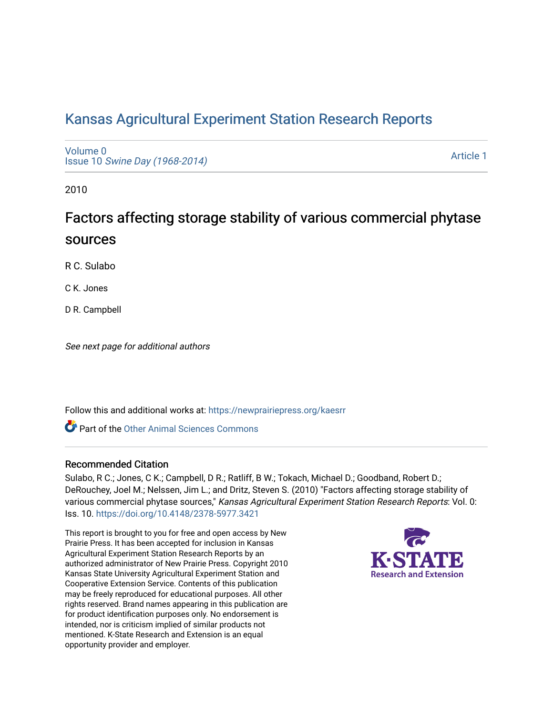## [Kansas Agricultural Experiment Station Research Reports](https://newprairiepress.org/kaesrr)

[Volume 0](https://newprairiepress.org/kaesrr/vol0) Issue 10 [Swine Day \(1968-2014\)](https://newprairiepress.org/kaesrr/vol0/iss10)

[Article 1](https://newprairiepress.org/kaesrr/vol0/iss10/1) 

2010

# Factors affecting storage stability of various commercial phytase sources

R C. Sulabo

C K. Jones

D R. Campbell

See next page for additional authors

Follow this and additional works at: [https://newprairiepress.org/kaesrr](https://newprairiepress.org/kaesrr?utm_source=newprairiepress.org%2Fkaesrr%2Fvol0%2Fiss10%2F1&utm_medium=PDF&utm_campaign=PDFCoverPages) 

Part of the [Other Animal Sciences Commons](http://network.bepress.com/hgg/discipline/82?utm_source=newprairiepress.org%2Fkaesrr%2Fvol0%2Fiss10%2F1&utm_medium=PDF&utm_campaign=PDFCoverPages)

#### Recommended Citation

Sulabo, R C.; Jones, C K.; Campbell, D R.; Ratliff, B W.; Tokach, Michael D.; Goodband, Robert D.; DeRouchey, Joel M.; Nelssen, Jim L.; and Dritz, Steven S. (2010) "Factors affecting storage stability of various commercial phytase sources," Kansas Agricultural Experiment Station Research Reports: Vol. 0: Iss. 10.<https://doi.org/10.4148/2378-5977.3421>

This report is brought to you for free and open access by New Prairie Press. It has been accepted for inclusion in Kansas Agricultural Experiment Station Research Reports by an authorized administrator of New Prairie Press. Copyright 2010 Kansas State University Agricultural Experiment Station and Cooperative Extension Service. Contents of this publication may be freely reproduced for educational purposes. All other rights reserved. Brand names appearing in this publication are for product identification purposes only. No endorsement is intended, nor is criticism implied of similar products not mentioned. K-State Research and Extension is an equal opportunity provider and employer.

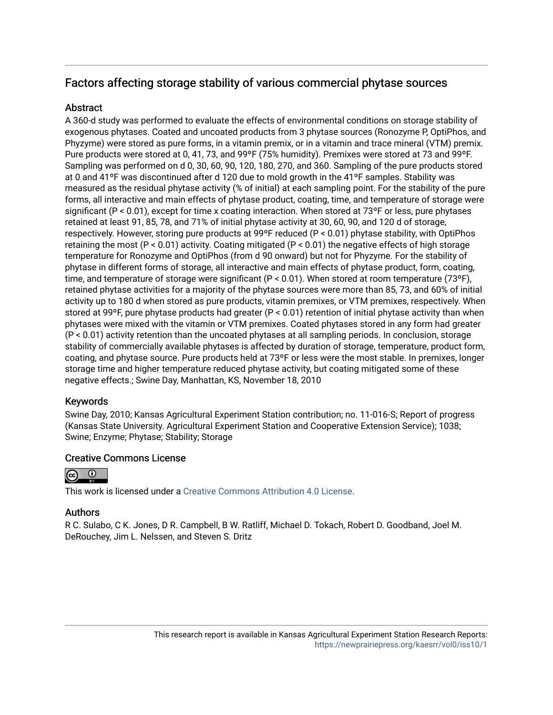## Factors affecting storage stability of various commercial phytase sources

## **Abstract**

A 360-d study was performed to evaluate the effects of environmental conditions on storage stability of exogenous phytases. Coated and uncoated products from 3 phytase sources (Ronozyme P, OptiPhos, and Phyzyme) were stored as pure forms, in a vitamin premix, or in a vitamin and trace mineral (VTM) premix. Pure products were stored at 0, 41, 73, and 99ºF (75% humidity). Premixes were stored at 73 and 99ºF. Sampling was performed on d 0, 30, 60, 90, 120, 180, 270, and 360. Sampling of the pure products stored at 0 and 41ºF was discontinued after d 120 due to mold growth in the 41ºF samples. Stability was measured as the residual phytase activity (% of initial) at each sampling point. For the stability of the pure forms, all interactive and main effects of phytase product, coating, time, and temperature of storage were significant (P < 0.01), except for time x coating interaction. When stored at 73ºF or less, pure phytases retained at least 91, 85, 78, and 71% of initial phytase activity at 30, 60, 90, and 120 d of storage, respectively. However, storing pure products at 99ºF reduced (P < 0.01) phytase stability, with OptiPhos retaining the most ( $P < 0.01$ ) activity. Coating mitigated ( $P < 0.01$ ) the negative effects of high storage temperature for Ronozyme and OptiPhos (from d 90 onward) but not for Phyzyme. For the stability of phytase in different forms of storage, all interactive and main effects of phytase product, form, coating, time, and temperature of storage were significant (P < 0.01). When stored at room temperature (73ºF), retained phytase activities for a majority of the phytase sources were more than 85, 73, and 60% of initial activity up to 180 d when stored as pure products, vitamin premixes, or VTM premixes, respectively. When stored at 99ºF, pure phytase products had greater (P < 0.01) retention of initial phytase activity than when phytases were mixed with the vitamin or VTM premixes. Coated phytases stored in any form had greater (P < 0.01) activity retention than the uncoated phytases at all sampling periods. In conclusion, storage stability of commercially available phytases is affected by duration of storage, temperature, product form, coating, and phytase source. Pure products held at 73ºF or less were the most stable. In premixes, longer storage time and higher temperature reduced phytase activity, but coating mitigated some of these negative effects.; Swine Day, Manhattan, KS, November 18, 2010

## Keywords

Swine Day, 2010; Kansas Agricultural Experiment Station contribution; no. 11-016-S; Report of progress (Kansas State University. Agricultural Experiment Station and Cooperative Extension Service); 1038; Swine; Enzyme; Phytase; Stability; Storage

## Creative Commons License



This work is licensed under a [Creative Commons Attribution 4.0 License](https://creativecommons.org/licenses/by/4.0/).

## Authors

R C. Sulabo, C K. Jones, D R. Campbell, B W. Ratliff, Michael D. Tokach, Robert D. Goodband, Joel M. DeRouchey, Jim L. Nelssen, and Steven S. Dritz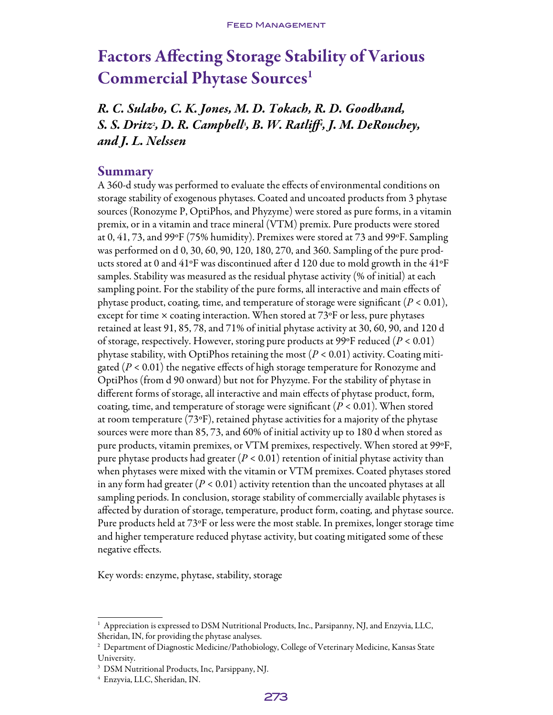# Factors Affecting Storage Stability of Various Commercial Phytase Sources<sup>1</sup>

*R. C. Sulabo, C. K. Jones, M. D. Tokach, R. D. Goodband, S. S. Dritz2 , D. R. Campbell3 , B. W. Ratliff4 , J. M. DeRouchey, and J. L. Nelssen*

#### Summary

A 360-d study was performed to evaluate the effects of environmental conditions on storage stability of exogenous phytases. Coated and uncoated products from 3 phytase sources (Ronozyme P, OptiPhos, and Phyzyme) were stored as pure forms, in a vitamin premix, or in a vitamin and trace mineral (VTM) premix. Pure products were stored at 0, 41, 73, and 99ºF (75% humidity). Premixes were stored at 73 and 99ºF. Sampling was performed on d 0, 30, 60, 90, 120, 180, 270, and 360. Sampling of the pure products stored at 0 and 41ºF was discontinued after d 120 due to mold growth in the 41ºF samples. Stability was measured as the residual phytase activity (% of initial) at each sampling point. For the stability of the pure forms, all interactive and main effects of phytase product, coating, time, and temperature of storage were significant  $(P < 0.01)$ , except for time  $\times$  coating interaction. When stored at 73 $\mathrm{^oF}$  or less, pure phytases retained at least 91, 85, 78, and 71% of initial phytase activity at 30, 60, 90, and 120 d of storage, respectively. However, storing pure products at 99ºF reduced (*P* < 0.01) phytase stability, with OptiPhos retaining the most  $(P < 0.01)$  activity. Coating mitigated (*P* < 0.01) the negative effects of high storage temperature for Ronozyme and OptiPhos (from d 90 onward) but not for Phyzyme. For the stability of phytase in different forms of storage, all interactive and main effects of phytase product, form, coating, time, and temperature of storage were significant  $(P < 0.01)$ . When stored at room temperature (73ºF), retained phytase activities for a majority of the phytase sources were more than 85, 73, and 60% of initial activity up to 180 d when stored as pure products, vitamin premixes, or VTM premixes, respectively. When stored at 99ºF, pure phytase products had greater (*P* < 0.01) retention of initial phytase activity than when phytases were mixed with the vitamin or VTM premixes. Coated phytases stored in any form had greater (*P* < 0.01) activity retention than the uncoated phytases at all sampling periods. In conclusion, storage stability of commercially available phytases is affected by duration of storage, temperature, product form, coating, and phytase source. Pure products held at 73ºF or less were the most stable. In premixes, longer storage time and higher temperature reduced phytase activity, but coating mitigated some of these negative effects.

Key words: enzyme, phytase, stability, storage

<sup>&</sup>lt;sup>1</sup> Appreciation is expressed to DSM Nutritional Products, Inc., Parsipanny, NJ, and Enzyvia, LLC, Sheridan, IN, for providing the phytase analyses.

 $^{\rm 2}$  Department of Diagnostic Medicine/Pathobiology, College of Veterinary Medicine, Kansas State University.

<sup>3</sup> DSM Nutritional Products, Inc, Parsippany, NJ.

<sup>4</sup> Enzyvia, LLC, Sheridan, IN.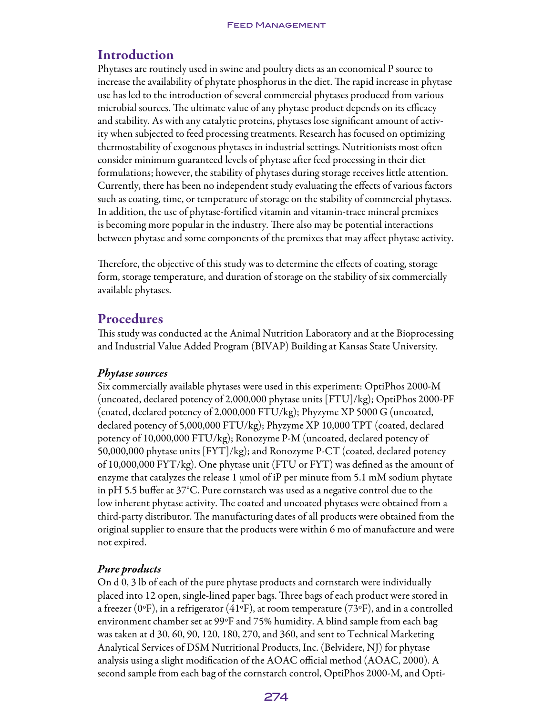## Introduction

Phytases are routinely used in swine and poultry diets as an economical P source to increase the availability of phytate phosphorus in the diet. The rapid increase in phytase use has led to the introduction of several commercial phytases produced from various microbial sources. The ultimate value of any phytase product depends on its efficacy and stability. As with any catalytic proteins, phytases lose significant amount of activity when subjected to feed processing treatments. Research has focused on optimizing thermostability of exogenous phytases in industrial settings. Nutritionists most often consider minimum guaranteed levels of phytase after feed processing in their diet formulations; however, the stability of phytases during storage receives little attention. Currently, there has been no independent study evaluating the effects of various factors such as coating, time, or temperature of storage on the stability of commercial phytases. In addition, the use of phytase-fortified vitamin and vitamin-trace mineral premixes is becoming more popular in the industry. There also may be potential interactions between phytase and some components of the premixes that may affect phytase activity.

Therefore, the objective of this study was to determine the effects of coating, storage form, storage temperature, and duration of storage on the stability of six commercially available phytases.

## Procedures

This study was conducted at the Animal Nutrition Laboratory and at the Bioprocessing and Industrial Value Added Program (BIVAP) Building at Kansas State University.

#### *Phytase sources*

Six commercially available phytases were used in this experiment: OptiPhos 2000-M (uncoated, declared potency of 2,000,000 phytase units [FTU]/kg); OptiPhos 2000-PF (coated, declared potency of 2,000,000 FTU/kg); Phyzyme XP 5000 G (uncoated, declared potency of 5,000,000 FTU/kg); Phyzyme XP 10,000 TPT (coated, declared potency of 10,000,000 FTU/kg); Ronozyme P-M (uncoated, declared potency of 50,000,000 phytase units [FYT]/kg); and Ronozyme P-CT (coated, declared potency of 10,000,000 FYT/kg). One phytase unit (FTU or FYT) was defined as the amount of enzyme that catalyzes the release 1  $\mu$ mol of iP per minute from 5.1 mM sodium phytate in pH 5.5 buffer at 37°C. Pure cornstarch was used as a negative control due to the low inherent phytase activity. The coated and uncoated phytases were obtained from a third-party distributor. The manufacturing dates of all products were obtained from the original supplier to ensure that the products were within 6 mo of manufacture and were not expired.

## *Pure products*

On d 0, 3 lb of each of the pure phytase products and cornstarch were individually placed into 12 open, single-lined paper bags. Three bags of each product were stored in a freezer (0°F), in a refrigerator (41°F), at room temperature (73°F), and in a controlled environment chamber set at 99ºF and 75% humidity. A blind sample from each bag was taken at d 30, 60, 90, 120, 180, 270, and 360, and sent to Technical Marketing Analytical Services of DSM Nutritional Products, Inc. (Belvidere, NJ) for phytase analysis using a slight modification of the AOAC official method (AOAC, 2000). A second sample from each bag of the cornstarch control, OptiPhos 2000-M, and Opti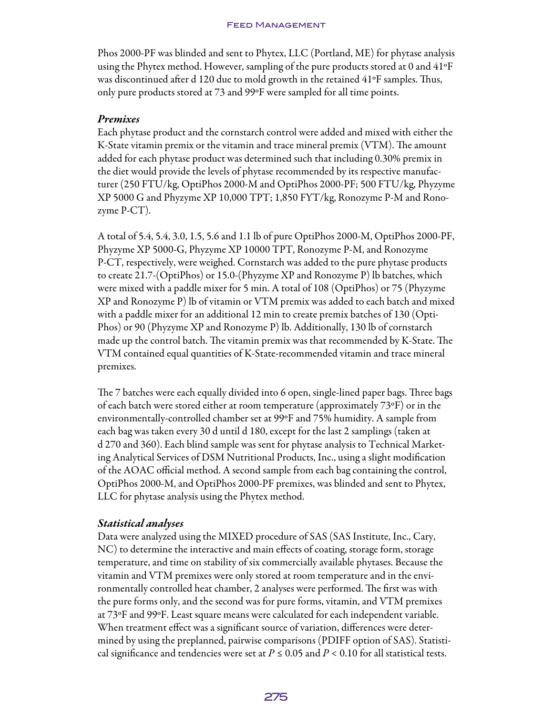Phos 2000-PF was blinded and sent to Phytex, LLC (Portland, ME) for phytase analysis using the Phytex method. However, sampling of the pure products stored at 0 and 41ºF was discontinued after d 120 due to mold growth in the retained 41ºF samples. Thus, only pure products stored at 73 and 99ºF were sampled for all time points.

#### *Premixes*

Each phytase product and the cornstarch control were added and mixed with either the K-State vitamin premix or the vitamin and trace mineral premix (VTM). The amount added for each phytase product was determined such that including 0.30% premix in the diet would provide the levels of phytase recommended by its respective manufacturer (250 FTU/kg, OptiPhos 2000-M and OptiPhos 2000-PF; 500 FTU/kg, Phyzyme XP 5000 G and Phyzyme XP 10,000 TPT; 1,850 FYT/kg, Ronozyme P-M and Ronozyme P-CT).

A total of 5.4, 5.4, 3.0, 1.5, 5.6 and 1.1 lb of pure OptiPhos 2000-M, OptiPhos 2000-PF, Phyzyme XP 5000-G, Phyzyme XP 10000 TPT, Ronozyme P-M, and Ronozyme P-CT, respectively, were weighed. Cornstarch was added to the pure phytase products to create 21.7-(OptiPhos) or 15.0-(Phyzyme XP and Ronozyme P) lb batches, which were mixed with a paddle mixer for 5 min. A total of 108 (OptiPhos) or 75 (Phyzyme XP and Ronozyme P) lb of vitamin or VTM premix was added to each batch and mixed with a paddle mixer for an additional 12 min to create premix batches of 130 (Opti-Phos) or 90 (Phyzyme XP and Ronozyme P) lb. Additionally, 130 lb of cornstarch made up the control batch. The vitamin premix was that recommended by K-State. The VTM contained equal quantities of K-State-recommended vitamin and trace mineral premixes.

The 7 batches were each equally divided into 6 open, single-lined paper bags. Three bags of each batch were stored either at room temperature (approximately 73ºF) or in the environmentally-controlled chamber set at 99ºF and 75% humidity. A sample from each bag was taken every 30 d until d 180, except for the last 2 samplings (taken at d 270 and 360). Each blind sample was sent for phytase analysis to Technical Marketing Analytical Services of DSM Nutritional Products, Inc., using a slight modification of the AOAC official method. A second sample from each bag containing the control, OptiPhos 2000-M, and OptiPhos 2000-PF premixes, was blinded and sent to Phytex, LLC for phytase analysis using the Phytex method.

#### *Statistical analyses*

Data were analyzed using the MIXED procedure of SAS (SAS Institute, Inc., Cary, NC) to determine the interactive and main effects of coating, storage form, storage temperature, and time on stability of six commercially available phytases. Because the vitamin and VTM premixes were only stored at room temperature and in the environmentally controlled heat chamber, 2 analyses were performed. The first was with the pure forms only, and the second was for pure forms, vitamin, and VTM premixes at 73ºF and 99ºF. Least square means were calculated for each independent variable. When treatment effect was a significant source of variation, differences were determined by using the preplanned, pairwise comparisons (PDIFF option of SAS). Statistical significance and tendencies were set at  $P \le 0.05$  and  $P < 0.10$  for all statistical tests.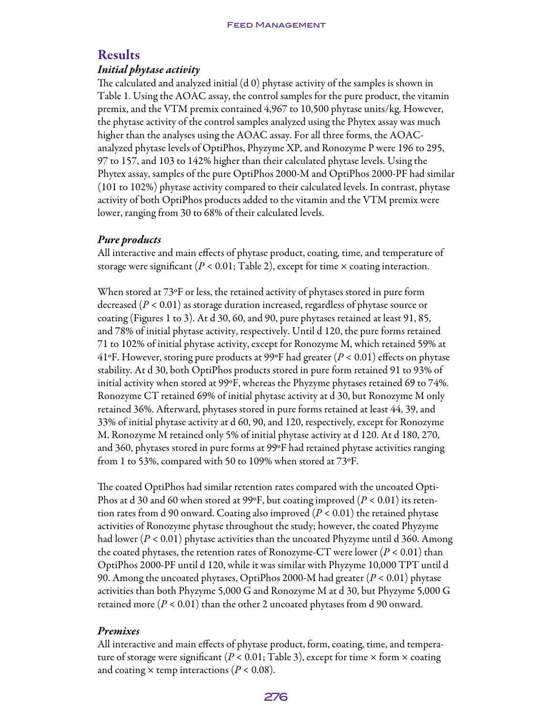## Results

#### *Initial phytase activity*

The calculated and analyzed initial (d 0) phytase activity of the samples is shown in Table 1. Using the AOAC assay, the control samples for the pure product, the vitamin premix, and the VTM premix contained 4,967 to 10,500 phytase units/kg. However, the phytase activity of the control samples analyzed using the Phytex assay was much higher than the analyses using the AOAC assay. For all three forms, the AOACanalyzed phytase levels of OptiPhos, Phyzyme XP, and Ronozyme P were 196 to 295, 97 to 157, and 103 to 142% higher than their calculated phytase levels. Using the Phytex assay, samples of the pure OptiPhos 2000-M and OptiPhos 2000-PF had similar (101 to 102%) phytase activity compared to their calculated levels. In contrast, phytase activity of both OptiPhos products added to the vitamin and the VTM premix were lower, ranging from 30 to 68% of their calculated levels.

## *Pure products*

All interactive and main effects of phytase product, coating, time, and temperature of storage were significant ( $P < 0.01$ ; Table 2), except for time  $\times$  coating interaction.

When stored at 73ºF or less, the retained activity of phytases stored in pure form decreased (*P* < 0.01) as storage duration increased, regardless of phytase source or coating (Figures 1 to 3). At d 30, 60, and 90, pure phytases retained at least 91, 85, and 78% of initial phytase activity, respectively. Until d 120, the pure forms retained 71 to 102% of initial phytase activity, except for Ronozyme M, which retained 59% at 41ºF. However, storing pure products at 99ºF had greater (*P* < 0.01) effects on phytase stability. At d 30, both OptiPhos products stored in pure form retained 91 to 93% of initial activity when stored at 99ºF, whereas the Phyzyme phytases retained 69 to 74%. Ronozyme CT retained 69% of initial phytase activity at d 30, but Ronozyme M only retained 36%. Afterward, phytases stored in pure forms retained at least 44, 39, and 33% of initial phytase activity at d 60, 90, and 120, respectively, except for Ronozyme M. Ronozyme M retained only 5% of initial phytase activity at d 120. At d 180, 270, and 360, phytases stored in pure forms at 99ºF had retained phytase activities ranging from 1 to 53%, compared with 50 to 109% when stored at 73ºF.

The coated OptiPhos had similar retention rates compared with the uncoated Opti-Phos at d 30 and 60 when stored at 99ºF, but coating improved (*P* < 0.01) its retention rates from d 90 onward. Coating also improved (*P* < 0.01) the retained phytase activities of Ronozyme phytase throughout the study; however, the coated Phyzyme had lower (*P* < 0.01) phytase activities than the uncoated Phyzyme until d 360. Among the coated phytases, the retention rates of Ronozyme-CT were lower  $(P < 0.01)$  than OptiPhos 2000-PF until d 120, while it was similar with Phyzyme 10,000 TPT until d 90. Among the uncoated phytases, OptiPhos 2000-M had greater (*P* < 0.01) phytase activities than both Phyzyme 5,000 G and Ronozyme M at d 30, but Phyzyme 5,000 G retained more  $(P < 0.01)$  than the other 2 uncoated phytases from d 90 onward.

#### *Premixes*

All interactive and main effects of phytase product, form, coating, time, and temperature of storage were significant ( $P < 0.01$ ; Table 3), except for time  $\times$  form  $\times$  coating and coating  $\times$  temp interactions ( $P < 0.08$ ).

#### 276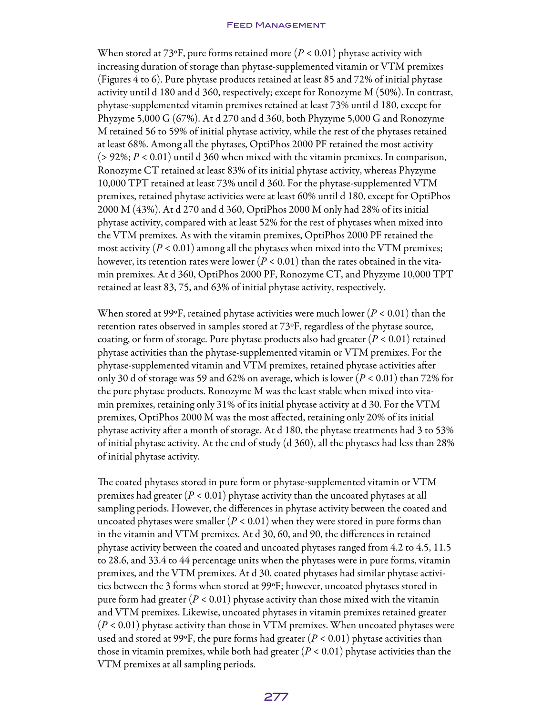When stored at 73ºF, pure forms retained more (*P* < 0.01) phytase activity with increasing duration of storage than phytase-supplemented vitamin or VTM premixes (Figures 4 to 6). Pure phytase products retained at least 85 and 72% of initial phytase activity until d 180 and d 360, respectively; except for Ronozyme M (50%). In contrast, phytase-supplemented vitamin premixes retained at least 73% until d 180, except for Phyzyme 5,000 G (67%). At d 270 and d 360, both Phyzyme 5,000 G and Ronozyme M retained 56 to 59% of initial phytase activity, while the rest of the phytases retained at least 68%. Among all the phytases, OptiPhos 2000 PF retained the most activity  $(> 92\%; P < 0.01)$  until d 360 when mixed with the vitamin premixes. In comparison, Ronozyme CT retained at least 83% of its initial phytase activity, whereas Phyzyme 10,000 TPT retained at least 73% until d 360. For the phytase-supplemented VTM premixes, retained phytase activities were at least 60% until d 180, except for OptiPhos 2000 M (43%). At d 270 and d 360, OptiPhos 2000 M only had 28% of its initial phytase activity, compared with at least 52% for the rest of phytases when mixed into the VTM premixes. As with the vitamin premixes, OptiPhos 2000 PF retained the most activity ( $P < 0.01$ ) among all the phytases when mixed into the VTM premixes; however, its retention rates were lower  $(P < 0.01)$  than the rates obtained in the vitamin premixes. At d 360, OptiPhos 2000 PF, Ronozyme CT, and Phyzyme 10,000 TPT retained at least 83, 75, and 63% of initial phytase activity, respectively.

When stored at 99ºF, retained phytase activities were much lower (*P* < 0.01) than the retention rates observed in samples stored at 73ºF, regardless of the phytase source, coating, or form of storage. Pure phytase products also had greater  $(P < 0.01)$  retained phytase activities than the phytase-supplemented vitamin or VTM premixes. For the phytase-supplemented vitamin and VTM premixes, retained phytase activities after only 30 d of storage was 59 and 62% on average, which is lower (*P* < 0.01) than 72% for the pure phytase products. Ronozyme M was the least stable when mixed into vitamin premixes, retaining only 31% of its initial phytase activity at d 30. For the VTM premixes, OptiPhos 2000 M was the most affected, retaining only 20% of its initial phytase activity after a month of storage. At d 180, the phytase treatments had 3 to 53% of initial phytase activity. At the end of study (d 360), all the phytases had less than 28% of initial phytase activity.

The coated phytases stored in pure form or phytase-supplemented vitamin or VTM premixes had greater (*P* < 0.01) phytase activity than the uncoated phytases at all sampling periods. However, the differences in phytase activity between the coated and uncoated phytases were smaller  $(P < 0.01)$  when they were stored in pure forms than in the vitamin and VTM premixes. At d 30, 60, and 90, the differences in retained phytase activity between the coated and uncoated phytases ranged from 4.2 to 4.5, 11.5 to 28.6, and 33.4 to 44 percentage units when the phytases were in pure forms, vitamin premixes, and the VTM premixes. At d 30, coated phytases had similar phytase activities between the 3 forms when stored at 99ºF; however, uncoated phytases stored in pure form had greater  $(P < 0.01)$  phytase activity than those mixed with the vitamin and VTM premixes. Likewise, uncoated phytases in vitamin premixes retained greater (*P* < 0.01) phytase activity than those in VTM premixes. When uncoated phytases were used and stored at 99°F, the pure forms had greater  $(P < 0.01)$  phytase activities than those in vitamin premixes, while both had greater  $(P < 0.01)$  phytase activities than the VTM premixes at all sampling periods.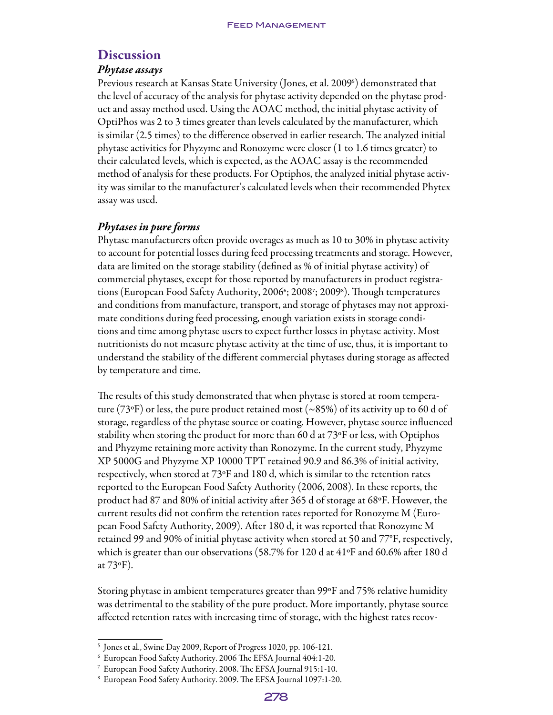## **Discussion**

## *Phytase assays*

Previous research at Kansas State University (Jones, et al. 2009<sup>5</sup> ) demonstrated that the level of accuracy of the analysis for phytase activity depended on the phytase product and assay method used. Using the AOAC method, the initial phytase activity of OptiPhos was 2 to 3 times greater than levels calculated by the manufacturer, which is similar (2.5 times) to the difference observed in earlier research. The analyzed initial phytase activities for Phyzyme and Ronozyme were closer (1 to 1.6 times greater) to their calculated levels, which is expected, as the AOAC assay is the recommended method of analysis for these products. For Optiphos, the analyzed initial phytase activity was similar to the manufacturer's calculated levels when their recommended Phytex assay was used.

## *Phytases in pure forms*

Phytase manufacturers often provide overages as much as 10 to 30% in phytase activity to account for potential losses during feed processing treatments and storage. However, data are limited on the storage stability (defined as % of initial phytase activity) of commercial phytases, except for those reported by manufacturers in product registrations (European Food Safety Authority, 2006<sup>6</sup>; 2008<sup>7</sup>; 20098). Though temperatures and conditions from manufacture, transport, and storage of phytases may not approximate conditions during feed processing, enough variation exists in storage conditions and time among phytase users to expect further losses in phytase activity. Most nutritionists do not measure phytase activity at the time of use, thus, it is important to understand the stability of the different commercial phytases during storage as affected by temperature and time.

The results of this study demonstrated that when phytase is stored at room temperature (73°F) or less, the pure product retained most (~85%) of its activity up to 60 d of storage, regardless of the phytase source or coating. However, phytase source influenced stability when storing the product for more than 60 d at 73ºF or less, with Optiphos and Phyzyme retaining more activity than Ronozyme. In the current study, Phyzyme XP 5000G and Phyzyme XP 10000 TPT retained 90.9 and 86.3% of initial activity, respectively, when stored at 73ºF and 180 d, which is similar to the retention rates reported to the European Food Safety Authority (2006, 2008). In these reports, the product had 87 and 80% of initial activity after 365 d of storage at 68ºF. However, the current results did not confirm the retention rates reported for Ronozyme M (European Food Safety Authority, 2009). After 180 d, it was reported that Ronozyme M retained 99 and 90% of initial phytase activity when stored at 50 and 77°F, respectively, which is greater than our observations (58.7% for 120 d at 41ºF and 60.6% after 180 d at 73ºF).

Storing phytase in ambient temperatures greater than 99ºF and 75% relative humidity was detrimental to the stability of the pure product. More importantly, phytase source affected retention rates with increasing time of storage, with the highest rates recov-

<sup>5</sup> Jones et al., Swine Day 2009, Report of Progress 1020, pp. 106-121.

<sup>6</sup> European Food Safety Authority. 2006 The EFSA Journal 404:1-20.

<sup>7</sup> European Food Safety Authority. 2008. The EFSA Journal 915:1-10.

<sup>8</sup> European Food Safety Authority. 2009. The EFSA Journal 1097:1-20.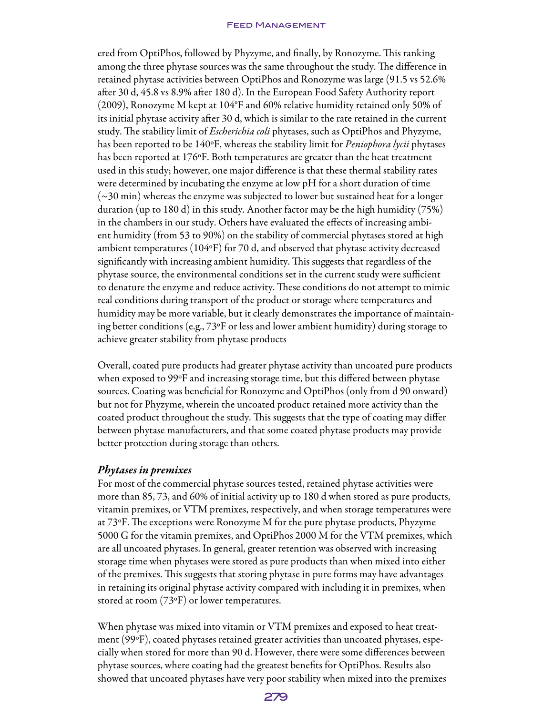ered from OptiPhos, followed by Phyzyme, and finally, by Ronozyme. This ranking among the three phytase sources was the same throughout the study. The difference in retained phytase activities between OptiPhos and Ronozyme was large (91.5 vs 52.6% after 30 d, 45.8 vs 8.9% after 180 d). In the European Food Safety Authority report (2009), Ronozyme M kept at 104°F and 60% relative humidity retained only 50% of its initial phytase activity after 30 d, which is similar to the rate retained in the current study. The stability limit of *Escherichia coli* phytases, such as OptiPhos and Phyzyme, has been reported to be 140ºF, whereas the stability limit for *Peniophora lycii* phytases has been reported at 176ºF. Both temperatures are greater than the heat treatment used in this study; however, one major difference is that these thermal stability rates were determined by incubating the enzyme at low pH for a short duration of time (~30 min) whereas the enzyme was subjected to lower but sustained heat for a longer duration (up to 180 d) in this study. Another factor may be the high humidity (75%) in the chambers in our study. Others have evaluated the effects of increasing ambient humidity (from 53 to 90%) on the stability of commercial phytases stored at high ambient temperatures (104 $\rm{eF}$ ) for 70 d, and observed that phytase activity decreased significantly with increasing ambient humidity. This suggests that regardless of the phytase source, the environmental conditions set in the current study were sufficient to denature the enzyme and reduce activity. These conditions do not attempt to mimic real conditions during transport of the product or storage where temperatures and humidity may be more variable, but it clearly demonstrates the importance of maintaining better conditions (e.g., 73ºF or less and lower ambient humidity) during storage to achieve greater stability from phytase products

Overall, coated pure products had greater phytase activity than uncoated pure products when exposed to 99ºF and increasing storage time, but this differed between phytase sources. Coating was beneficial for Ronozyme and OptiPhos (only from d 90 onward) but not for Phyzyme, wherein the uncoated product retained more activity than the coated product throughout the study. This suggests that the type of coating may differ between phytase manufacturers, and that some coated phytase products may provide better protection during storage than others.

#### *Phytases in premixes*

For most of the commercial phytase sources tested, retained phytase activities were more than 85, 73, and 60% of initial activity up to 180 d when stored as pure products, vitamin premixes, or VTM premixes, respectively, and when storage temperatures were at 73ºF. The exceptions were Ronozyme M for the pure phytase products, Phyzyme 5000 G for the vitamin premixes, and OptiPhos 2000 M for the VTM premixes, which are all uncoated phytases. In general, greater retention was observed with increasing storage time when phytases were stored as pure products than when mixed into either of the premixes. This suggests that storing phytase in pure forms may have advantages in retaining its original phytase activity compared with including it in premixes, when stored at room (73ºF) or lower temperatures.

When phytase was mixed into vitamin or VTM premixes and exposed to heat treatment (99ºF), coated phytases retained greater activities than uncoated phytases, especially when stored for more than 90 d. However, there were some differences between phytase sources, where coating had the greatest benefits for OptiPhos. Results also showed that uncoated phytases have very poor stability when mixed into the premixes

#### 279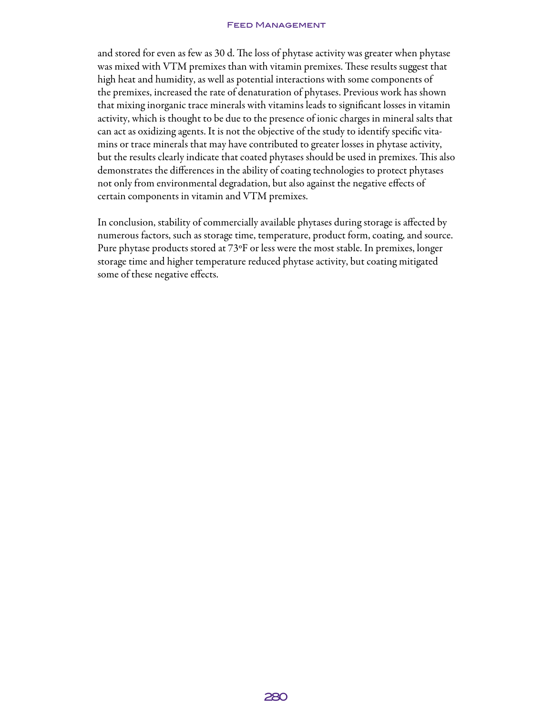and stored for even as few as 30 d. The loss of phytase activity was greater when phytase was mixed with VTM premixes than with vitamin premixes. These results suggest that high heat and humidity, as well as potential interactions with some components of the premixes, increased the rate of denaturation of phytases. Previous work has shown that mixing inorganic trace minerals with vitamins leads to significant losses in vitamin activity, which is thought to be due to the presence of ionic charges in mineral salts that can act as oxidizing agents. It is not the objective of the study to identify specific vitamins or trace minerals that may have contributed to greater losses in phytase activity, but the results clearly indicate that coated phytases should be used in premixes. This also demonstrates the differences in the ability of coating technologies to protect phytases not only from environmental degradation, but also against the negative effects of certain components in vitamin and VTM premixes.

In conclusion, stability of commercially available phytases during storage is affected by numerous factors, such as storage time, temperature, product form, coating, and source. Pure phytase products stored at 73ºF or less were the most stable. In premixes, longer storage time and higher temperature reduced phytase activity, but coating mitigated some of these negative effects.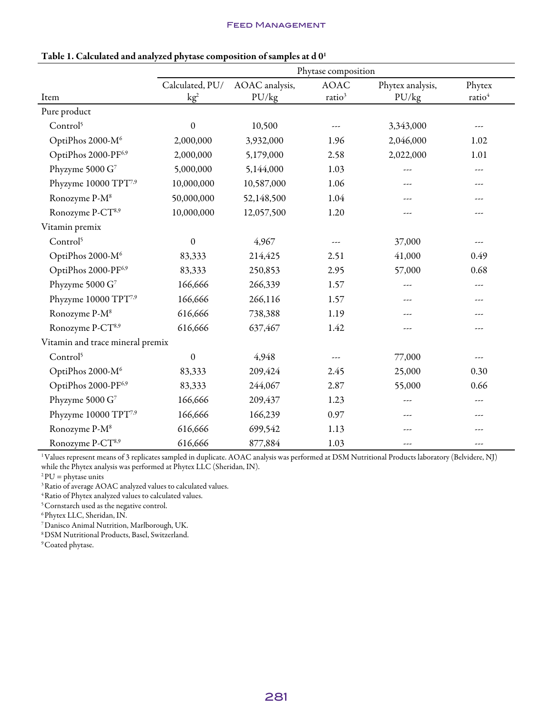|                                  | Phytase composition |                |                    |                  |                    |
|----------------------------------|---------------------|----------------|--------------------|------------------|--------------------|
|                                  | Calculated, PU/     | AOAC analysis, | <b>AOAC</b>        | Phytex analysis, | Phytex             |
| Item                             | kg <sup>2</sup>     | PU/kg          | ratio <sup>3</sup> | PU/kg            | ratio <sup>4</sup> |
| Pure product                     |                     |                |                    |                  |                    |
| Control <sup>5</sup>             | $\boldsymbol{0}$    | 10,500         | ---                | 3,343,000        |                    |
| OptiPhos 2000-M <sup>6</sup>     | 2,000,000           | 3,932,000      | 1.96               | 2,046,000        | 1.02               |
| OptiPhos 2000-PF6,9              | 2,000,000           | 5,179,000      | 2.58               | 2,022,000        | 1.01               |
| Phyzyme 5000 G <sup>7</sup>      | 5,000,000           | 5,144,000      | 1.03               | ---              | ---                |
| Phyzyme 10000 TPT <sup>7,9</sup> | 10,000,000          | 10,587,000     | 1.06               |                  | ---                |
| Ronozyme P-M <sup>8</sup>        | 50,000,000          | 52,148,500     | 1.04               | ---              | ---                |
| Ronozyme P-CT <sup>8,9</sup>     | 10,000,000          | 12,057,500     | 1.20               | ---              | ---                |
| Vitamin premix                   |                     |                |                    |                  |                    |
| Control <sup>5</sup>             | $\boldsymbol{0}$    | 4,967          | ---                | 37,000           | ---                |
| OptiPhos 2000-M <sup>6</sup>     | 83,333              | 214,425        | 2.51               | 41,000           | 0.49               |
| OptiPhos 2000-PF6,9              | 83,333              | 250,853        | 2.95               | 57,000           | 0.68               |
| Phyzyme 5000 G <sup>7</sup>      | 166,666             | 266,339        | 1.57               | ---              | $- - -$            |
| Phyzyme 10000 TPT <sup>7,9</sup> | 166,666             | 266,116        | 1.57               | ---              | ---                |
| Ronozyme P-M <sup>8</sup>        | 616,666             | 738,388        | 1.19               | ---              | ---                |
| Ronozyme P-CT <sup>8,9</sup>     | 616,666             | 637,467        | 1.42               | ---              | ---                |
| Vitamin and trace mineral premix |                     |                |                    |                  |                    |
| Control <sup>5</sup>             | $\boldsymbol{0}$    | 4,948          | ---                | 77,000           |                    |
| OptiPhos 2000-M <sup>6</sup>     | 83,333              | 209,424        | 2.45               | 25,000           | 0.30               |
| OptiPhos 2000-PF6,9              | 83,333              | 244,067        | 2.87               | 55,000           | 0.66               |
| Phyzyme 5000 G <sup>7</sup>      | 166,666             | 209,437        | 1.23               | ---              | $\cdots$           |
| Phyzyme 10000 TPT <sup>7,9</sup> | 166,666             | 166,239        | 0.97               | ---              | ---                |
| Ronozyme P-M <sup>8</sup>        | 616,666             | 699,542        | 1.13               | ---              |                    |
| Ronozyme P-CT <sup>8,9</sup>     | 616,666             | 877,884        | 1.03               | ---              | ---                |

#### Table 1. Calculated and analyzed phytase composition of samples at d 0<sup>1</sup>

1Values represent means of 3 replicates sampled in duplicate. AOAC analysis was performed at DSM Nutritional Products laboratory (Belvidere, NJ) while the Phytex analysis was performed at Phytex LLC (Sheridan, IN).

 $2$  PU = phytase units

<sup>3</sup> Ratio of average AOAC analyzed values to calculated values.

4Ratio of Phytex analyzed values to calculated values.

 $^{\rm 5}$  Cornstarch used as the negative control.

 $^6$  Phytex LLC, Sheridan, IN.

7Danisco Animal Nutrition, Marlborough, UK.

8DSM Nutritional Products, Basel, Switzerland.

<sup>9</sup> Coated phytase.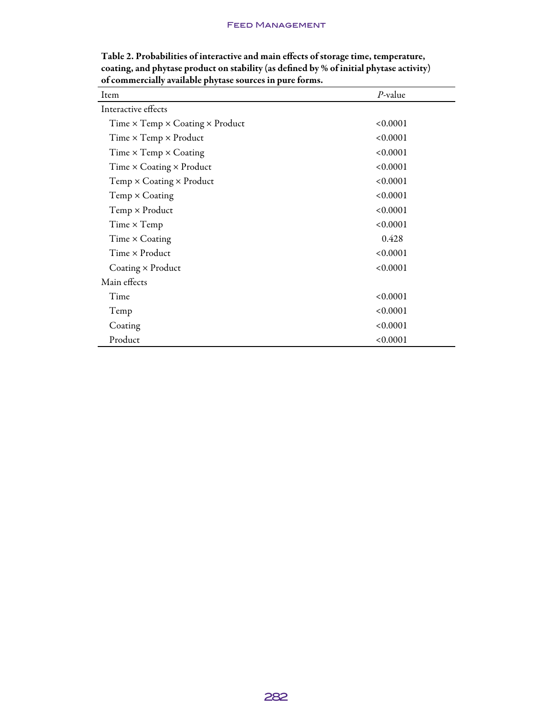| Item                                                 | $P$ -value |
|------------------------------------------------------|------------|
| Interactive effects                                  |            |
| Time $\times$ Temp $\times$ Coating $\times$ Product | < 0.0001   |
| Time $\times$ Temp $\times$ Product                  | < 0.0001   |
| Time $\times$ Temp $\times$ Coating                  | < 0.0001   |
| Time $\times$ Coating $\times$ Product               | < 0.0001   |
| Temp × Coating × Product                             | < 0.0001   |
| Temp × Coating                                       | < 0.0001   |
| Temp × Product                                       | < 0.0001   |
| Time $\times$ Temp                                   | < 0.0001   |
| Time × Coating                                       | 0.428      |
| Time × Product                                       | < 0.0001   |
| Coating $\times$ Product                             | < 0.0001   |
| Main effects                                         |            |
| Time                                                 | < 0.0001   |
| Temp                                                 | < 0.0001   |
| Coating                                              | < 0.0001   |
| Product                                              | < 0.0001   |

Table 2. Probabilities of interactive and main effects of storage time, temperature, coating, and phytase product on stability (as defined by % of initial phytase activity) of commercially available phytase sources in pure forms.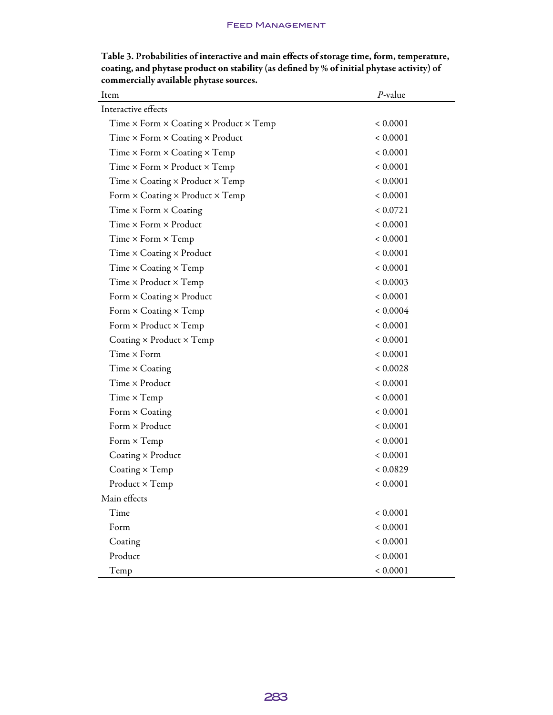| Item                                                 | $P$ -value   |
|------------------------------------------------------|--------------|
| Interactive effects                                  |              |
| Time × Form × Coating × Product × Temp               | ${}< 0.0001$ |
| Time × Form × Coating × Product                      | ${}< 0.0001$ |
| Time $\times$ Form $\times$ Coating $\times$ Temp    | ${}< 0.0001$ |
| Time $\times$ Form $\times$ Product $\times$ Temp    | ${}< 0.0001$ |
| Time $\times$ Coating $\times$ Product $\times$ Temp | ${}< 0.0001$ |
| Form $\times$ Coating $\times$ Product $\times$ Temp | ${}< 0.0001$ |
| Time $\times$ Form $\times$ Coating                  | < 0.0721     |
| Time $\times$ Form $\times$ Product                  | ${}< 0.0001$ |
| $Time \times Form \times Temp$                       | ${}< 0.0001$ |
| Time $\times$ Coating $\times$ Product               | ${}< 0.0001$ |
| Time $\times$ Coating $\times$ Temp                  | ${}< 0.0001$ |
| Time $\times$ Product $\times$ Temp                  | ${}< 0.0003$ |
| Form $\times$ Coating $\times$ Product               | ${}< 0.0001$ |
| Form $\times$ Coating $\times$ Temp                  | ${}< 0.0004$ |
| Form $\times$ Product $\times$ Temp                  | ${}< 0.0001$ |
| Coating $\times$ Product $\times$ Temp               | ${}< 0.0001$ |
| Time $\times$ Form                                   | ${}< 0.0001$ |
| Time × Coating                                       | < 0.0028     |
| Time × Product                                       | ${}< 0.0001$ |
| Time $\times$ Temp                                   | ${}< 0.0001$ |
| Form × Coating                                       | ${}< 0.0001$ |
| Form × Product                                       | ${}< 0.0001$ |
| Form $\times$ Temp                                   | ${}< 0.0001$ |
| Coating $\times$ Product                             | ${}< 0.0001$ |
| Coating × Temp                                       | ${}< 0.0829$ |
| Product × Temp                                       | ${}< 0.0001$ |
| Main effects                                         |              |
| Time                                                 | ${}< 0.0001$ |
| Form                                                 | ${}< 0.0001$ |
| Coating                                              | ${}< 0.0001$ |
| Product                                              | ${}< 0.0001$ |
| Temp                                                 | ${}< 0.0001$ |

Table 3. Probabilities of interactive and main effects of storage time, form, temperature, coating, and phytase product on stability (as defined by % of initial phytase activity) of commercially available phytase sources.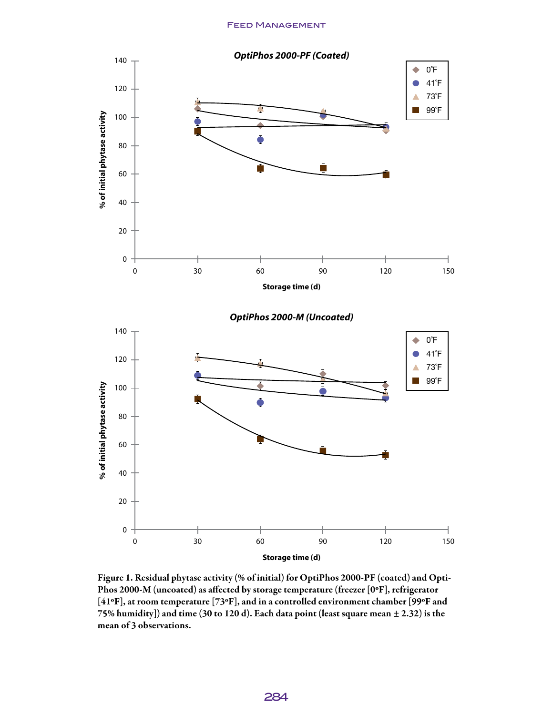

Figure 1. Residual phytase activity (% of initial) for OptiPhos 2000-PF (coated) and Opti-Phos 2000-M (uncoated) as affected by storage temperature (freezer [0ºF], refrigerator [41ºF], at room temperature [73ºF], and in a controlled environment chamber [99ºF and 75% humidity]) and time (30 to 120 d). Each data point (least square mean  $\pm$  2.32) is the mean of 3 observations.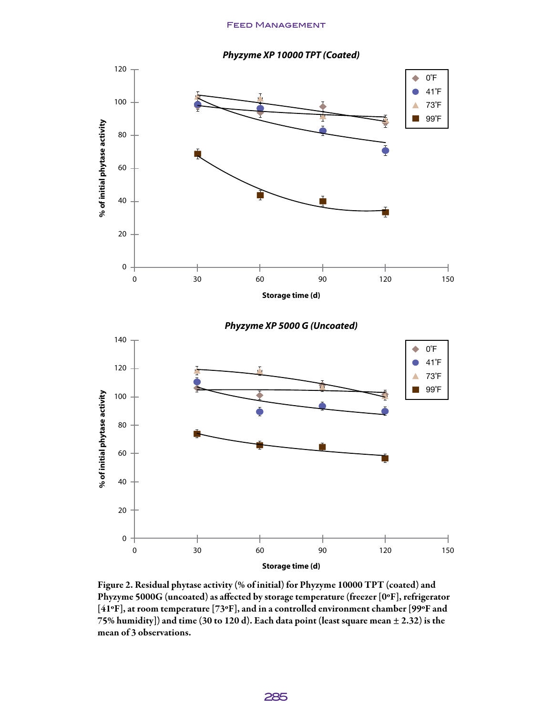*Phyzyme XP 10000 TPT (Coated)*



Figure 2. Residual phytase activity (% of initial) for Phyzyme 10000 TPT (coated) and Phyzyme 5000G (uncoated) as affected by storage temperature (freezer [0ºF], refrigerator [41ºF], at room temperature [73ºF], and in a controlled environment chamber [99ºF and 75% humidity]) and time (30 to 120 d). Each data point (least square mean  $\pm$  2.32) is the mean of 3 observations.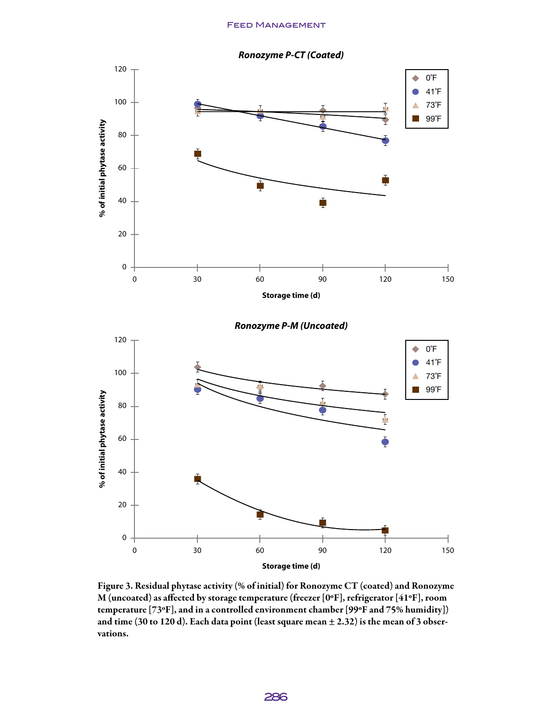

*Ronozyme P-M (Uncoated)*



Figure 3. Residual phytase activity (% of initial) for Ronozyme CT (coated) and Ronozyme M (uncoated) as affected by storage temperature (freezer [0ºF], refrigerator [41ºF], room temperature [73ºF], and in a controlled environment chamber [99ºF and 75% humidity]) and time (30 to 120 d). Each data point (least square mean  $\pm$  2.32) is the mean of 3 observations.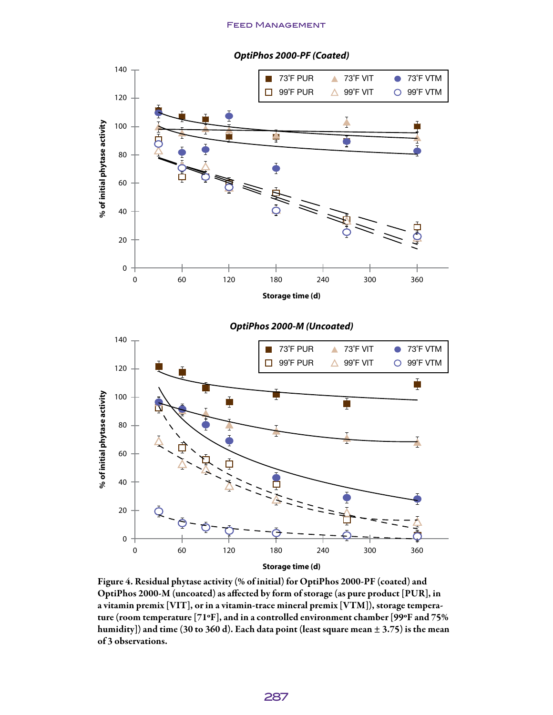

#### *OptiPhos 2000-PF (Coated)*





Figure 4. Residual phytase activity (% of initial) for OptiPhos 2000-PF (coated) and OptiPhos 2000-M (uncoated) as affected by form of storage (as pure product [PUR], in a vitamin premix [VIT], or in a vitamin-trace mineral premix [VTM]), storage temperature (room temperature [71ºF], and in a controlled environment chamber [99ºF and 75% humidity]) and time (30 to 360 d). Each data point (least square mean  $\pm$  3.75) is the mean of 3 observations.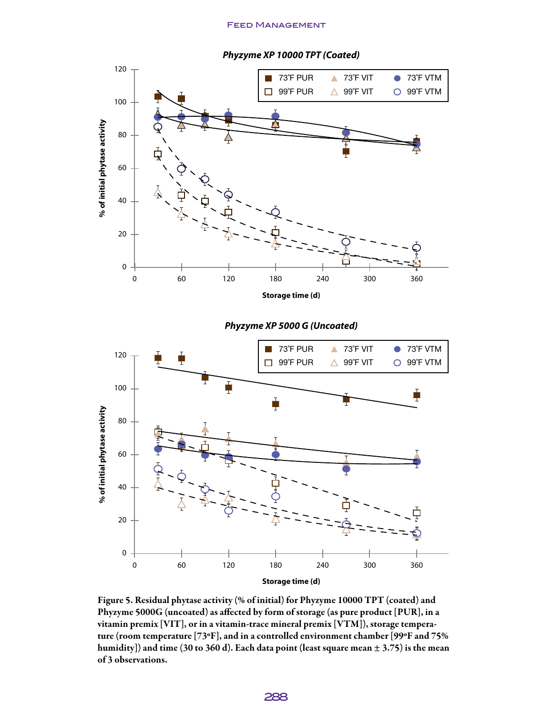

*Phyzyme XP 5000 G (Uncoated)*



Figure 5. Residual phytase activity (% of initial) for Phyzyme 10000 TPT (coated) and Phyzyme 5000G (uncoated) as affected by form of storage (as pure product [PUR], in a vitamin premix [VIT], or in a vitamin-trace mineral premix [VTM]), storage temperature (room temperature [73ºF], and in a controlled environment chamber [99ºF and 75% humidity]) and time (30 to 360 d). Each data point (least square mean  $\pm$  3.75) is the mean of 3 observations.